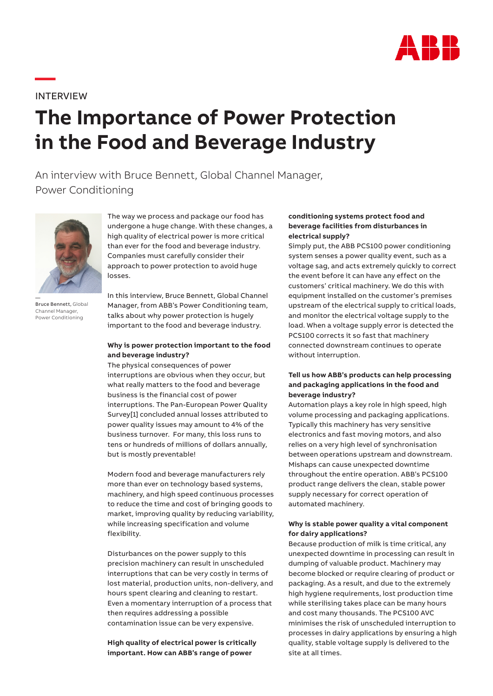

INTERVIEW

**—**

# **The Importance of Power Protection in the Food and Beverage Industry**

## An interview with Bruce Bennett, Global Channel Manager, Power Conditioning



— Bruce Bennett, Global Channel Manager, Power Conditioning

The way we process and package our food has undergone a huge change. With these changes, a high quality of electrical power is more critical than ever for the food and beverage industry. Companies must carefully consider their approach to power protection to avoid huge losses.

In this interview, Bruce Bennett, Global Channel Manager, from ABB's Power Conditioning team, talks about why power protection is hugely important to the food and beverage industry.

#### **Why is power protection important to the food and beverage industry?**

The physical consequences of power interruptions are obvious when they occur, but what really matters to the food and beverage business is the financial cost of power interruptions. The Pan-European Power Quality Survey[1] concluded annual losses attributed to power quality issues may amount to 4% of the business turnover. For many, this loss runs to tens or hundreds of millions of dollars annually, but is mostly preventable!

Modern food and beverage manufacturers rely more than ever on technology based systems, machinery, and high speed continuous processes to reduce the time and cost of bringing goods to market, improving quality by reducing variability, while increasing specification and volume flexibility.

Disturbances on the power supply to this precision machinery can result in unscheduled interruptions that can be very costly in terms of lost material, production units, non-delivery, and hours spent clearing and cleaning to restart. Even a momentary interruption of a process that then requires addressing a possible contamination issue can be very expensive.

**High quality of electrical power is critically important. How can ABB's range of power** 

#### **conditioning systems protect food and beverage facilities from disturbances in electrical supply?**

Simply put, the ABB PCS100 power conditioning system senses a power quality event, such as a voltage sag, and acts extremely quickly to correct the event before it can have any effect on the customers' critical machinery. We do this with equipment installed on the customer's premises upstream of the electrical supply to critical loads, and monitor the electrical voltage supply to the load. When a voltage supply error is detected the PCS100 corrects it so fast that machinery connected downstream continues to operate without interruption.

#### **Tell us how ABB's products can help processing and packaging applications in the food and beverage industry?**

Automation plays a key role in high speed, high volume processing and packaging applications. Typically this machinery has very sensitive electronics and fast moving motors, and also relies on a very high level of synchronisation between operations upstream and downstream. Mishaps can cause unexpected downtime throughout the entire operation. ABB's PCS100 product range delivers the clean, stable power supply necessary for correct operation of automated machinery.

#### **Why is stable power quality a vital component for dairy applications?**

Because production of milk is time critical, any unexpected downtime in processing can result in dumping of valuable product. Machinery may become blocked or require clearing of product or packaging. As a result, and due to the extremely high hygiene requirements, lost production time while sterilising takes place can be many hours and cost many thousands. The PCS100 AVC minimises the risk of unscheduled interruption to processes in dairy applications by ensuring a high quality, stable voltage supply is delivered to the site at all times.